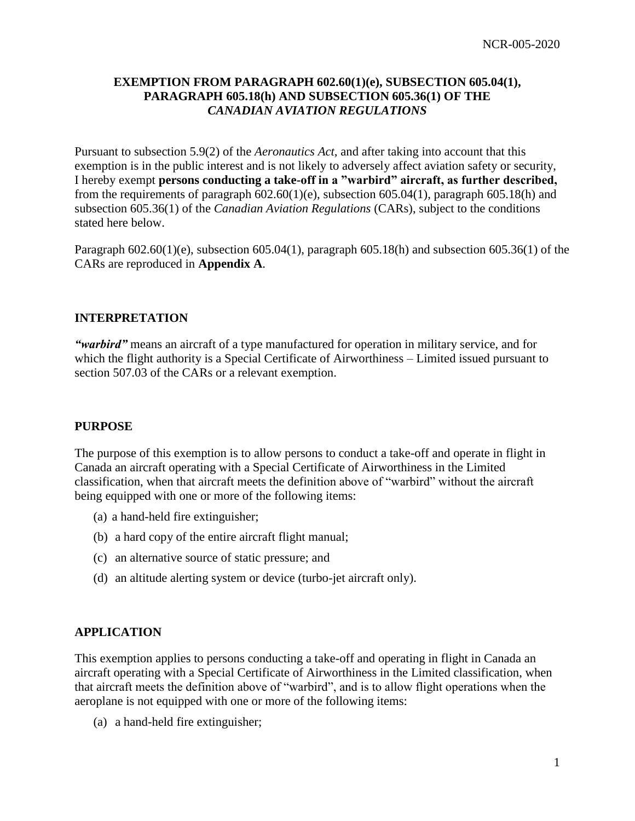# **EXEMPTION FROM PARAGRAPH 602.60(1)(e), SUBSECTION 605.04(1), PARAGRAPH 605.18(h) AND SUBSECTION 605.36(1) OF THE**  *CANADIAN AVIATION REGULATIONS*

Pursuant to subsection 5.9(2) of the *Aeronautics Act,* and after taking into account that this exemption is in the public interest and is not likely to adversely affect aviation safety or security, I hereby exempt **persons conducting a take-off in a "warbird" aircraft, as further described,**  from the requirements of paragraph  $602.60(1)(e)$ , subsection  $605.04(1)$ , paragraph  $605.18(h)$  and subsection 605.36(1) of the *Canadian Aviation Regulations* (CARs), subject to the conditions stated here below.

Paragraph  $602.60(1)(e)$ , subsection  $605.04(1)$ , paragraph  $605.18(h)$  and subsection  $605.36(1)$  of the CARs are reproduced in **Appendix A**.

## **INTERPRETATION**

*"warbird"* means an aircraft of a type manufactured for operation in military service, and for which the flight authority is a Special Certificate of Airworthiness – Limited issued pursuant to section 507.03 of the CARs or a relevant exemption.

#### **PURPOSE**

The purpose of this exemption is to allow persons to conduct a take-off and operate in flight in Canada an aircraft operating with a Special Certificate of Airworthiness in the Limited classification, when that aircraft meets the definition above of "warbird" without the aircraft being equipped with one or more of the following items:

- (a) a hand-held fire extinguisher;
- (b) a hard copy of the entire aircraft flight manual;
- (c) an alternative source of static pressure; and
- (d) an altitude alerting system or device (turbo-jet aircraft only).

# **APPLICATION**

This exemption applies to persons conducting a take-off and operating in flight in Canada an aircraft operating with a Special Certificate of Airworthiness in the Limited classification, when that aircraft meets the definition above of "warbird", and is to allow flight operations when the aeroplane is not equipped with one or more of the following items:

(a) a hand-held fire extinguisher;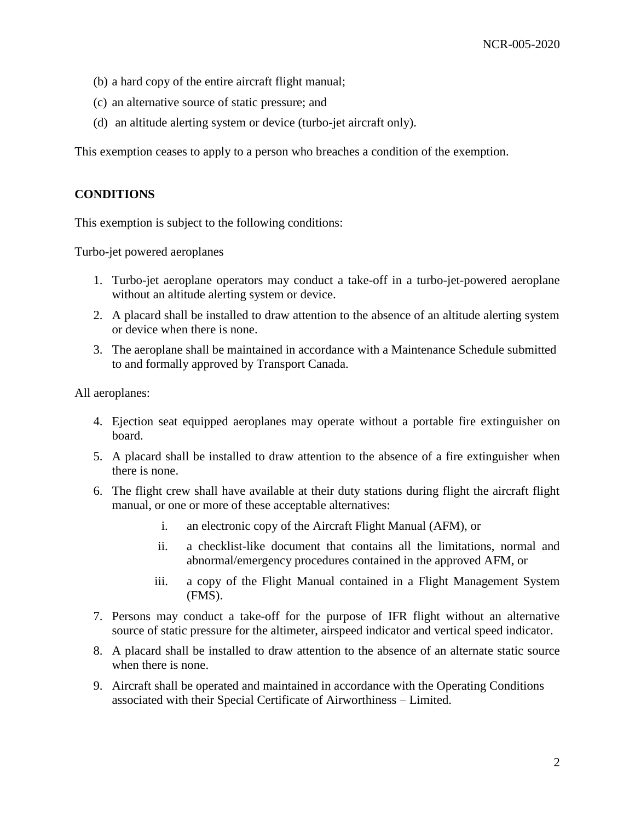- (b) a hard copy of the entire aircraft flight manual;
- (c) an alternative source of static pressure; and
- (d) an altitude alerting system or device (turbo-jet aircraft only).

This exemption ceases to apply to a person who breaches a condition of the exemption.

#### **CONDITIONS**

This exemption is subject to the following conditions:

Turbo-jet powered aeroplanes

- 1. Turbo-jet aeroplane operators may conduct a take-off in a turbo-jet-powered aeroplane without an altitude alerting system or device.
- 2. A placard shall be installed to draw attention to the absence of an altitude alerting system or device when there is none.
- 3. The aeroplane shall be maintained in accordance with a Maintenance Schedule submitted to and formally approved by Transport Canada.

All aeroplanes:

- 4. Ejection seat equipped aeroplanes may operate without a portable fire extinguisher on board.
- 5. A placard shall be installed to draw attention to the absence of a fire extinguisher when there is none.
- 6. The flight crew shall have available at their duty stations during flight the aircraft flight manual, or one or more of these acceptable alternatives:
	- i. an electronic copy of the Aircraft Flight Manual (AFM), or
	- ii. a checklist-like document that contains all the limitations, normal and abnormal/emergency procedures contained in the approved AFM, or
	- iii. a copy of the Flight Manual contained in a Flight Management System (FMS).
- 7. Persons may conduct a take-off for the purpose of IFR flight without an alternative source of static pressure for the altimeter, airspeed indicator and vertical speed indicator.
- 8. A placard shall be installed to draw attention to the absence of an alternate static source when there is none.
- 9. Aircraft shall be operated and maintained in accordance with the Operating Conditions associated with their Special Certificate of Airworthiness – Limited.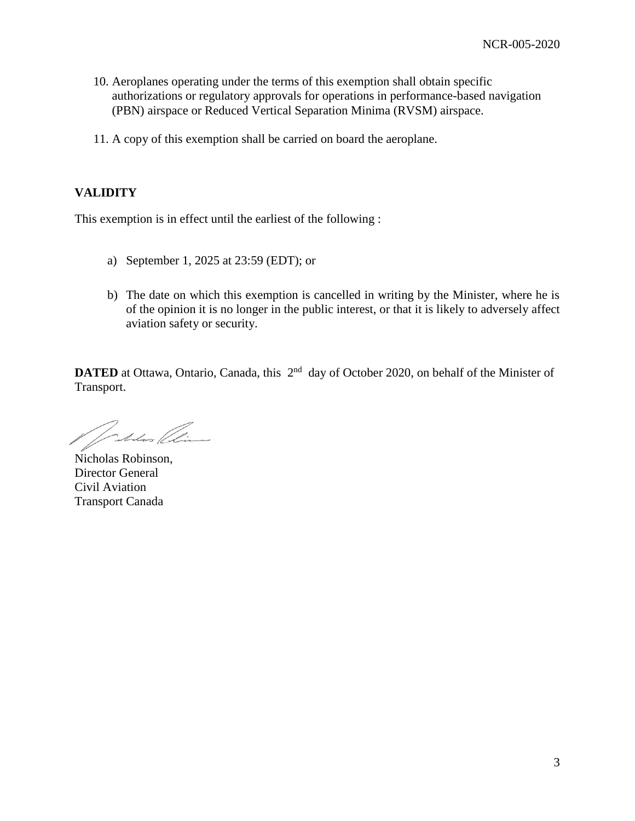- 10. Aeroplanes operating under the terms of this exemption shall obtain specific authorizations or regulatory approvals for operations in performance-based navigation (PBN) airspace or Reduced Vertical Separation Minima (RVSM) airspace.
- 11. A copy of this exemption shall be carried on board the aeroplane.

# **VALIDITY**

This exemption is in effect until the earliest of the following :

- a) September 1, 2025 at 23:59 (EDT); or
- b) The date on which this exemption is cancelled in writing by the Minister, where he is of the opinion it is no longer in the public interest, or that it is likely to adversely affect aviation safety or security.

**DATED** at Ottawa, Ontario, Canada, this  $2^{nd}$  day of October 2020, on behalf of the Minister of Transport.

Inters (Aime

Nicholas Robinson, Director General Civil Aviation Transport Canada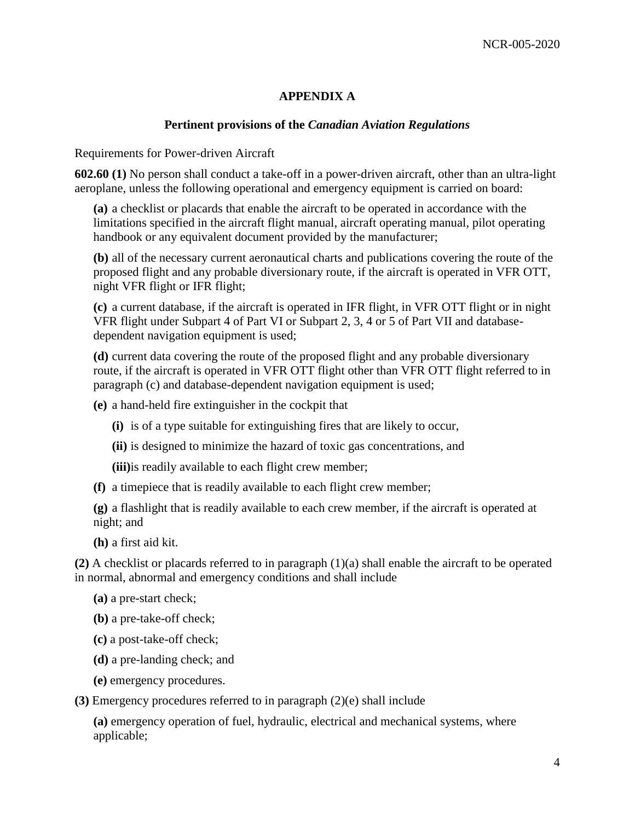# **APPENDIX A**

## **Pertinent provisions of the** *Canadian Aviation Regulations*

Requirements for Power-driven Aircraft

**602.60 (1)** No person shall conduct a take-off in a power-driven aircraft, other than an ultra-light aeroplane, unless the following operational and emergency equipment is carried on board:

**(a)** a checklist or placards that enable the aircraft to be operated in accordance with the limitations specified in the aircraft flight manual, aircraft operating manual, pilot operating handbook or any equivalent document provided by the manufacturer;

**(b)** all of the necessary current aeronautical charts and publications covering the route of the proposed flight and any probable diversionary route, if the aircraft is operated in VFR OTT, night VFR flight or IFR flight;

**(c)** a current database, if the aircraft is operated in IFR flight, in VFR OTT flight or in night VFR flight under Subpart 4 of Part VI or Subpart 2, 3, 4 or 5 of Part VII and databasedependent navigation equipment is used;

**(d)** current data covering the route of the proposed flight and any probable diversionary route, if the aircraft is operated in VFR OTT flight other than VFR OTT flight referred to in paragraph (c) and database-dependent navigation equipment is used;

**(e)** a hand-held fire extinguisher in the cockpit that

- **(i)** is of a type suitable for extinguishing fires that are likely to occur,
- **(ii)** is designed to minimize the hazard of toxic gas concentrations, and

**(iii)**is readily available to each flight crew member;

**(f)** a timepiece that is readily available to each flight crew member;

**(g)** a flashlight that is readily available to each crew member, if the aircraft is operated at night; and

**(h)** a first aid kit.

**(2)** A checklist or placards referred to in paragraph (1)(a) shall enable the aircraft to be operated in normal, abnormal and emergency conditions and shall include

- **(a)** a pre-start check;
- **(b)** a pre-take-off check;
- **(c)** a post-take-off check;
- **(d)** a pre-landing check; and
- **(e)** emergency procedures.

**(3)** Emergency procedures referred to in paragraph (2)(e) shall include

**(a)** emergency operation of fuel, hydraulic, electrical and mechanical systems, where applicable;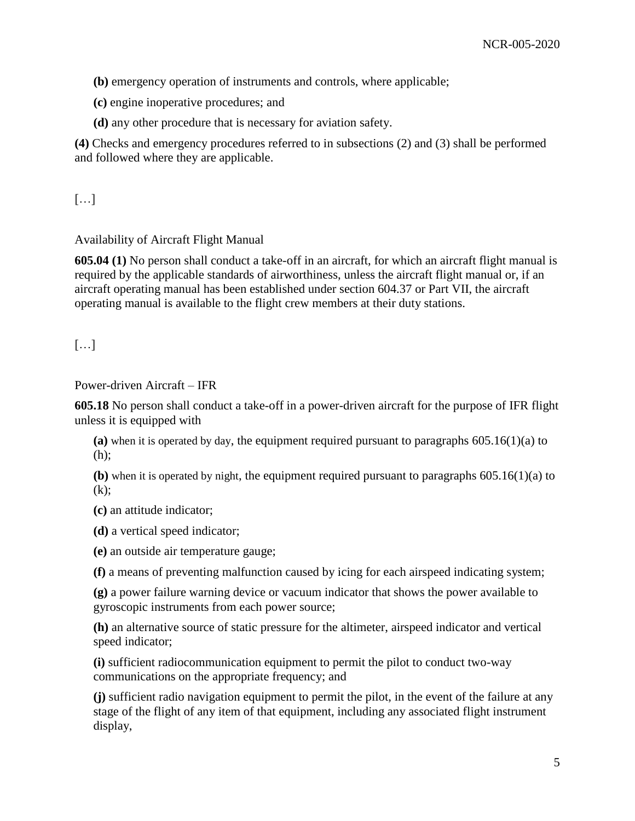**(b)** emergency operation of instruments and controls, where applicable;

**(c)** engine inoperative procedures; and

**(d)** any other procedure that is necessary for aviation safety.

**(4)** Checks and emergency procedures referred to in subsections (2) and (3) shall be performed and followed where they are applicable.

[…]

## Availability of Aircraft Flight Manual

**605.04 (1)** No person shall conduct a take-off in an aircraft, for which an aircraft flight manual is required by the applicable standards of airworthiness, unless the aircraft flight manual or, if an aircraft operating manual has been established under section 604.37 or Part VII, the aircraft operating manual is available to the flight crew members at their duty stations.

[…]

Power-driven Aircraft – IFR

**605.18** No person shall conduct a take-off in a power-driven aircraft for the purpose of IFR flight unless it is equipped with

**(a)** when it is operated by day, the equipment required pursuant to paragraphs 605.16(1)(a) to (h);

**(b)** when it is operated by night, the equipment required pursuant to paragraphs 605.16(1)(a) to  $(k)$ :

**(c)** an attitude indicator;

**(d)** a vertical speed indicator;

**(e)** an outside air temperature gauge;

**(f)** a means of preventing malfunction caused by icing for each airspeed indicating system;

**(g)** a power failure warning device or vacuum indicator that shows the power available to gyroscopic instruments from each power source;

**(h)** an alternative source of static pressure for the altimeter, airspeed indicator and vertical speed indicator;

**(i)** sufficient radiocommunication equipment to permit the pilot to conduct two-way communications on the appropriate frequency; and

**(j)** sufficient radio navigation equipment to permit the pilot, in the event of the failure at any stage of the flight of any item of that equipment, including any associated flight instrument display,